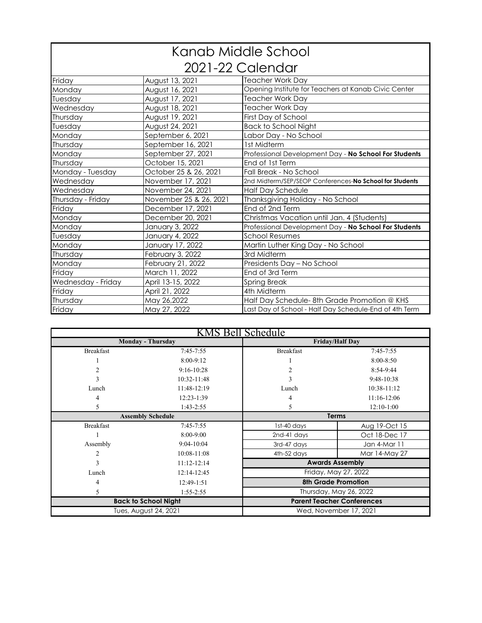|                    | Kanab Middle School    |                                                         |  |  |  |  |  |
|--------------------|------------------------|---------------------------------------------------------|--|--|--|--|--|
|                    | 2021-22 Calendar       |                                                         |  |  |  |  |  |
| Friday             | August 13, 2021        | <b>Teacher Work Day</b>                                 |  |  |  |  |  |
| Monday             | August 16, 2021        | Opening Institute for Teachers at Kanab Civic Center    |  |  |  |  |  |
| Tuesday            | August 17, 2021        | <b>Teacher Work Day</b>                                 |  |  |  |  |  |
| Wednesday          | August 18, 2021        | <b>Teacher Work Day</b>                                 |  |  |  |  |  |
| Thursday           | August 19, 2021        | First Day of School                                     |  |  |  |  |  |
| Tuesday            | August 24, 2021        | <b>Back to School Night</b>                             |  |  |  |  |  |
| Monday             | September 6, 2021      | Labor Day - No School                                   |  |  |  |  |  |
| Thursday           | September 16, 2021     | 1st Midterm                                             |  |  |  |  |  |
| Monday             | September 27, 2021     | Professional Development Day - No School For Students   |  |  |  |  |  |
| Thursday           | October 15, 2021       | End of 1st Term                                         |  |  |  |  |  |
| Monday - Tuesday   | October 25 & 26, 2021  | Fall Break - No School                                  |  |  |  |  |  |
| Wednesday          | November 17, 2021      | 2nd Midterm/SEP/SEOP Conferences-No School for Students |  |  |  |  |  |
| Wednesday          | November 24, 2021      | <b>Half Day Schedule</b>                                |  |  |  |  |  |
| Thursday - Friday  | November 25 & 26, 2021 | Thanksgiving Holiday - No School                        |  |  |  |  |  |
| Friday             | December 17, 2021      | End of 2nd Term                                         |  |  |  |  |  |
| Monday             | December 20, 2021      | Christmas Vacation until Jan. 4 (Students)              |  |  |  |  |  |
| Monday             | January 3, 2022        | Professional Development Day - No School For Students   |  |  |  |  |  |
| Tuesday            | January 4, 2022        | <b>School Resumes</b>                                   |  |  |  |  |  |
| Monday             | January 17, 2022       | Martin Luther King Day - No School                      |  |  |  |  |  |
| Thursday           | February 3, 2022       | 3rd Midterm                                             |  |  |  |  |  |
| Monday             | February 21, 2022      | Presidents Day - No School                              |  |  |  |  |  |
| Friday             | March 11, 2022         | End of 3rd Term                                         |  |  |  |  |  |
| Wednesday - Friday | April 13-15, 2022      | <b>Spring Break</b>                                     |  |  |  |  |  |
| Friday             | April 21, 2022         | 4th Midterm                                             |  |  |  |  |  |
| Thursday           | May 26,2022            | Half Day Schedule-8th Grade Promotion @ KHS             |  |  |  |  |  |
| Friday             | May 27, 2022           | Last Day of School - Half Day Schedule-End of 4th Term  |  |  |  |  |  |

|                  | KMS Bell Schedule           |                  |                                   |  |  |  |  |  |  |
|------------------|-----------------------------|------------------|-----------------------------------|--|--|--|--|--|--|
|                  | <b>Monday - Thursday</b>    |                  | <b>Friday/Half Day</b>            |  |  |  |  |  |  |
| <b>Breakfast</b> | 7:45-7:55                   | <b>Breakfast</b> | 7:45-7:55                         |  |  |  |  |  |  |
|                  | 8:00-9:12                   |                  | $8:00 - 8:50$                     |  |  |  |  |  |  |
| 2                | $9:16 - 10:28$              | 2                | 8:54-9:44                         |  |  |  |  |  |  |
| 3                | 10:32-11:48                 | 3                | 9:48-10:38                        |  |  |  |  |  |  |
| Lunch            | 11:48-12:19                 | Lunch            | 10:38-11:12                       |  |  |  |  |  |  |
| 4                | 12:23-1:39                  | 4                | 11:16-12:06                       |  |  |  |  |  |  |
| 5                | 1:43-2:55                   | 5                | $12:10-1:00$                      |  |  |  |  |  |  |
|                  | <b>Assembly Schedule</b>    |                  | <b>Terms</b>                      |  |  |  |  |  |  |
| <b>Breakfast</b> | 7:45-7:55                   | 1st-40 days      | Aug 19-Oct 15                     |  |  |  |  |  |  |
|                  | 8:00-9:00                   | 2nd-41 days      | Oct 18-Dec 17                     |  |  |  |  |  |  |
| Assembly         | $9:04-10:04$                | 3rd-47 days      | Jan 4-Mar 11                      |  |  |  |  |  |  |
| 2                | 10:08-11:08                 | 4th-52 days      | Mar 14-May 27                     |  |  |  |  |  |  |
| 3                | 11:12-12:14                 |                  | <b>Awards Assembly</b>            |  |  |  |  |  |  |
| Lunch            | 12:14-12:45                 |                  | Friday, May 27, 2022              |  |  |  |  |  |  |
| 4                | 12:49-1:51                  |                  | <b>8th Grade Promotion</b>        |  |  |  |  |  |  |
| 5                | $1:55 - 2:55$               |                  | Thursday, May 26, 2022            |  |  |  |  |  |  |
|                  | <b>Back to School Night</b> |                  | <b>Parent Teacher Conferences</b> |  |  |  |  |  |  |
|                  | Tues, August 24, 2021       |                  | Wed, November 17, 2021            |  |  |  |  |  |  |